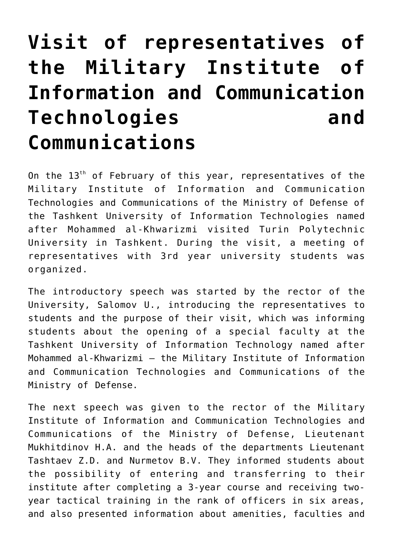## **[Visit of representatives of](https://polito.uz/6708/) [the Military Institute of](https://polito.uz/6708/) [Information and Communication](https://polito.uz/6708/) [Technologies and](https://polito.uz/6708/) [Communications](https://polito.uz/6708/)**

On the  $13<sup>th</sup>$  of February of this year, representatives of the Military Institute of Information and Communication Technologies and Communications of the Ministry of Defense of the Tashkent University of Information Technologies named after Mohammed al-Khwarizmi visited Turin Polytechnic University in Tashkent. During the visit, a meeting of representatives with 3rd year university students was organized.

The introductory speech was started by the rector of the University, Salomov U., introducing the representatives to students and the purpose of their visit, which was informing students about the opening of a special faculty at the Tashkent University of Information Technology named after Mohammed al-Khwarizmi – the Military Institute of Information and Communication Technologies and Communications of the Ministry of Defense.

The next speech was given to the rector of the Military Institute of Information and Communication Technologies and Communications of the Ministry of Defense, Lieutenant Mukhitdinov H.A. and the heads of the departments Lieutenant Tashtaev Z.D. and Nurmetov B.V. They informed students about the possibility of entering and transferring to their institute after completing a 3-year course and receiving twoyear tactical training in the rank of officers in six areas, and also presented information about amenities, faculties and